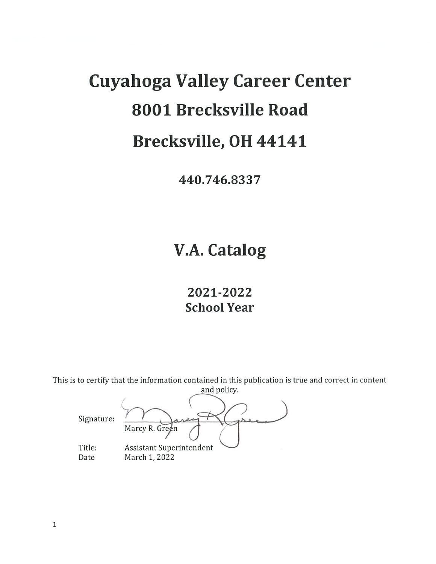# **Cuyahoga Valley Career Center** 8001 Brecksville Road Brecksville, OH 44141

440.746.8337

## **V.A. Catalog**

2021-2022 **School Year** 

This is to certify that the information contained in this publication is true and correct in content and policy.

Signature: Marcy R. Green Assistant Superintendent Title: March 1, 2022 Date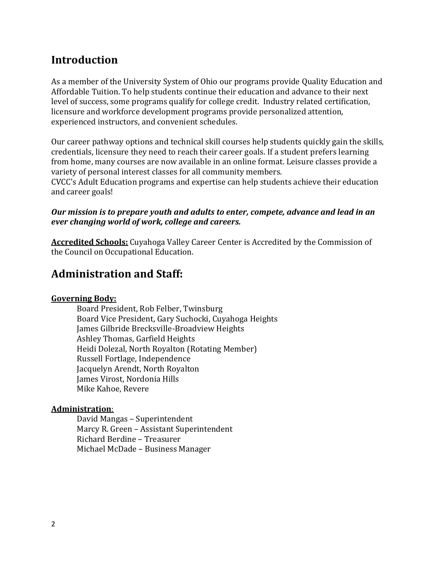## **Introduction**

As a member of the University System of Ohio our programs provide Quality Education and Affordable Tuition. To help students continue their education and advance to their next level of success, some programs qualify for college credit. Industry related certification, licensure and workforce development programs provide personalized attention, experienced instructors, and convenient schedules.

Our career pathway options and technical skill courses help students quickly gain the skills, credentials, licensure they need to reach their career goals. If a student prefers learning from home, many courses are now available in an online format. Leisure classes provide a variety of personal interest classes for all community members.

CVCC's Adult Education programs and expertise can help students achieve their education and career goals!

#### *Our mission is to prepare youth and adults to enter, compete, advance and lead in an ever changing world of work, college and careers.*

**Accredited Schools:** Cuyahoga Valley Career Center is Accredited by the Commission of the Council on Occupational Education.

## **Administration and Staff:**

#### **Governing Body:**

Board President, Rob Felber, Twinsburg Board Vice President, Gary Suchocki, Cuyahoga Heights James Gilbride Brecksville-Broadview Heights Ashley Thomas, Garfield Heights Heidi Dolezal, North Royalton (Rotating Member) Russell Fortlage, Independence Jacquelyn Arendt, North Royalton James Virost, Nordonia Hills Mike Kahoe, Revere

#### **Administration**:

David Mangas – Superintendent Marcy R. Green – Assistant Superintendent Richard Berdine – Treasurer Michael McDade – Business Manager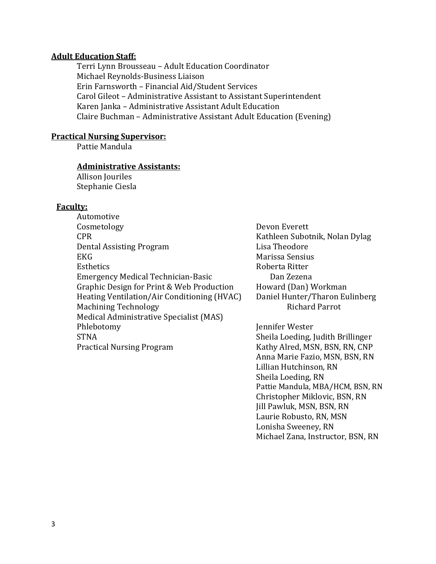#### **Adult Education Staff:**

Terri Lynn Brousseau – Adult Education Coordinator Michael Reynolds-Business Liaison Erin Farnsworth – Financial Aid/Student Services Carol Gileot – Administrative Assistant to Assistant Superintendent Karen Janka – Administrative Assistant Adult Education Claire Buchman – Administrative Assistant Adult Education (Evening)

#### **Practical Nursing Supervisor:**

Pattie Mandula

#### **Administrative Assistants:**

Allison Jouriles Stephanie Ciesla

#### **Faculty:**

Automotive Cosmetology Devon Everett CPR Kathleen Subotnik, Nolan Dylag Dental Assisting Program Lisa Theodore EKG Marissa Sensius Esthetics **Roberta** Ritter Emergency Medical Technician-Basic Dan Zezena Graphic Design for Print & Web Production Howard (Dan) Workman Heating Ventilation/Air Conditioning (HVAC) Daniel Hunter/Tharon Eulinberg Machining Technology *Richard Parrot* Medical Administrative Specialist (MAS) Phlebotomy Jennifer Wester STNA Sheila Loeding, Judith Brillinger Practical Nursing Program Kathy Alred, MSN, BSN, RN, CNP

Anna Marie Fazio, MSN, BSN, RN Lillian Hutchinson, RN Sheila Loeding, RN Pattie Mandula, MBA/HCM, BSN, RN Christopher Miklovic, BSN, RN Jill Pawluk, MSN, BSN, RN Laurie Robusto, RN, MSN Lonisha Sweeney, RN Michael Zana, Instructor, BSN, RN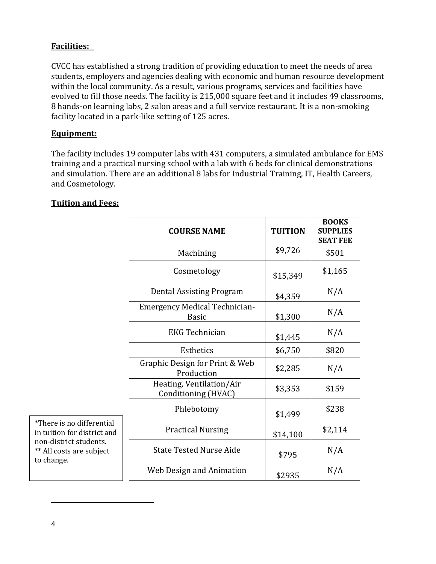#### **Facilities:**

CVCC has established a strong tradition of providing education to meet the needs of area students, employers and agencies dealing with economic and human resource development within the local community. As a result, various programs, services and facilities have evolved to fill those needs. The facility is 215,000 square feet and it includes 49 classrooms, 8 hands-on learning labs, 2 salon areas and a full service restaurant. It is a non-smoking facility located in a park-like setting of 125 acres.

#### **Equipment:**

The facility includes 19 computer labs with 431 computers, a simulated ambulance for EMS training and a practical nursing school with a lab with 6 beds for clinical demonstrations and simulation. There are an additional 8 labs for Industrial Training, IT, Health Careers, and Cosmetology.

|                                                                                                                              | <b>COURSE NAME</b>                                   | <b>TUITION</b> | <b>BOOKS</b><br><b>SUPPLIES</b><br><b>SEAT FEE</b> |
|------------------------------------------------------------------------------------------------------------------------------|------------------------------------------------------|----------------|----------------------------------------------------|
|                                                                                                                              | Machining                                            | \$9,726        | \$501                                              |
|                                                                                                                              | Cosmetology                                          | \$15,349       | \$1,165                                            |
|                                                                                                                              | Dental Assisting Program                             | \$4,359        | N/A                                                |
|                                                                                                                              | <b>Emergency Medical Technician-</b><br><b>Basic</b> | \$1,300        | N/A                                                |
|                                                                                                                              | <b>EKG Technician</b>                                | \$1,445        | N/A                                                |
|                                                                                                                              | Esthetics                                            | \$6,750        | \$820                                              |
|                                                                                                                              | Graphic Design for Print & Web<br>Production         | \$2,285        | N/A                                                |
|                                                                                                                              | Heating, Ventilation/Air<br>Conditioning (HVAC)      | \$3,353        | \$159                                              |
|                                                                                                                              | Phlebotomy                                           | \$1,499        | \$238                                              |
| *There is no differential<br>in tuition for district and<br>non-district students.<br>** All costs are subject<br>to change. | <b>Practical Nursing</b>                             | \$14,100       | \$2,114                                            |
|                                                                                                                              | <b>State Tested Nurse Aide</b>                       | \$795          | N/A                                                |
|                                                                                                                              | Web Design and Animation                             | \$2935         | N/A                                                |

#### **Tuition and Fees:**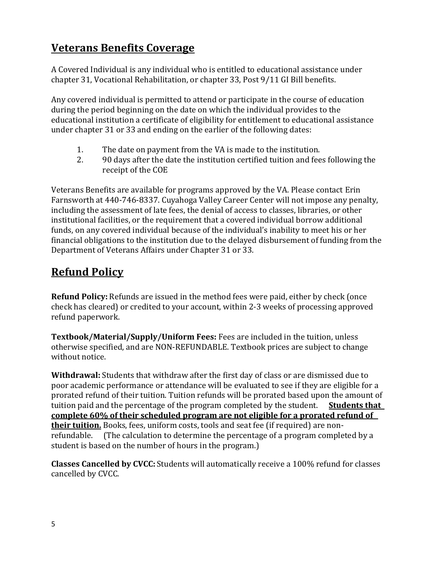## **Veterans Benefits Coverage**

A Covered Individual is any individual who is entitled to educational assistance under chapter 31, Vocational Rehabilitation, or chapter 33, Post 9/11 GI Bill benefits.

Any covered individual is permitted to attend or participate in the course of education during the period beginning on the date on which the individual provides to the educational institution a certificate of eligibility for entitlement to educational assistance under chapter 31 or 33 and ending on the earlier of the following dates:

- 1. The date on payment from the VA is made to the institution.
- 2. 90 days after the date the institution certified tuition and fees following the receipt of the COE

Veterans Benefits are available for programs approved by the VA. Please contact Erin Farnsworth at 440-746-8337. Cuyahoga Valley Career Center will not impose any penalty, including the assessment of late fees, the denial of access to classes, libraries, or other institutional facilities, or the requirement that a covered individual borrow additional funds, on any covered individual because of the individual's inability to meet his or her financial obligations to the institution due to the delayed disbursement of funding from the Department of Veterans Affairs under Chapter 31 or 33.

## **Refund Policy**

**Refund Policy:** Refunds are issued in the method fees were paid, either by check (once check has cleared) or credited to your account, within 2-3 weeks of processing approved refund paperwork.

**Textbook/Material/Supply/Uniform Fees:** Fees are included in the tuition, unless otherwise specified, and are NON-REFUNDABLE. Textbook prices are subject to change without notice.

**Withdrawal:** Students that withdraw after the first day of class or are dismissed due to poor academic performance or attendance will be evaluated to see if they are eligible for a prorated refund of their tuition. Tuition refunds will be prorated based upon the amount of tuition paid and the percentage of the program completed by the student. **Students that complete 60% of their scheduled program are not eligible for a prorated refund of their tuition.** Books, fees, uniform costs, tools and seat fee (if required) are nonrefundable. (The calculation to determine the percentage of a program completed by a student is based on the number of hours in the program.)

**Classes Cancelled by CVCC:**Students will automatically receive a 100% refund for classes cancelled by CVCC.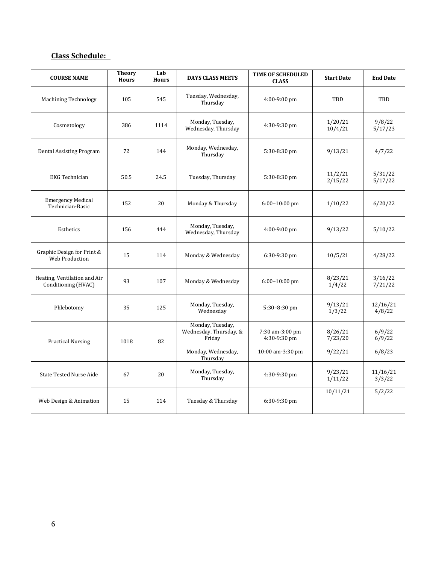#### **Class Schedule:**

| <b>COURSE NAME</b>                                  | <b>Theory</b><br><b>Hours</b> | Lab<br><b>Hours</b> | <b>DAYS CLASS MEETS</b>                              | <b>TIME OF SCHEDULED</b><br><b>CLASS</b> | <b>Start Date</b>  | <b>End Date</b>    |
|-----------------------------------------------------|-------------------------------|---------------------|------------------------------------------------------|------------------------------------------|--------------------|--------------------|
| <b>Machining Technology</b>                         | 105                           | 545                 | Tuesday, Wednesday,<br>Thursday                      | 4:00-9:00 pm                             | TBD                | TBD                |
| Cosmetology                                         | 386                           | 1114                | Monday, Tuesday,<br>Wednesday, Thursday              | 4:30-9:30 pm                             | 1/20/21<br>10/4/21 | 9/8/22<br>5/17/23  |
| Dental Assisting Program                            | 72                            | 144                 | Monday, Wednesday,<br>Thursday                       | 5:30-8:30 pm                             | 9/13/21            | 4/7/22             |
| <b>EKG</b> Technician                               | 50.5                          | 24.5                | Tuesday, Thursday                                    | 5:30-8:30 pm                             | 11/2/21<br>2/15/22 | 5/31/22<br>5/17/22 |
| <b>Emergency Medical</b><br>Technician-Basic        | 152                           | 20                  | Monday & Thursday                                    | $6:00-10:00$ pm                          | 1/10/22            | 6/20/22            |
| Esthetics                                           | 156                           | 444                 | Monday, Tuesday,<br>Wednesday, Thursday              | 4:00-9:00 pm                             | 9/13/22            | 5/10/22            |
| Graphic Design for Print &<br>Web Production        | 15                            | 114                 | Monday & Wednesday                                   | $6:30-9:30$ pm                           | 10/5/21            | 4/28/22            |
| Heating, Ventilation and Air<br>Conditioning (HVAC) | 93                            | 107                 | Monday & Wednesday                                   | $6:00-10:00$ pm                          | 8/23/21<br>1/4/22  | 3/16/22<br>7/21/22 |
| Phlebotomy                                          | 35                            | 125                 | Monday, Tuesday,<br>Wednesday                        | 5:30-8:30 pm                             | 9/13/21<br>1/3/22  | 12/16/21<br>4/8/22 |
| <b>Practical Nursing</b>                            | 1018                          | 82                  | Monday, Tuesday,<br>Wednesday, Thursday, &<br>Friday | 7:30 am-3:00 pm<br>4:30-9:30 pm          | 8/26/21<br>7/23/20 | 6/9/22<br>6/9/22   |
|                                                     |                               |                     | Monday, Wednesday,<br>Thursday                       | 10:00 am-3:30 pm                         | 9/22/21            | 6/8/23             |
| <b>State Tested Nurse Aide</b>                      | 67                            | 20                  | Monday, Tuesday,<br>Thursday                         | 4:30-9:30 pm                             | 9/23/21<br>1/11/22 | 11/16/21<br>3/3/22 |
| Web Design & Animation                              | 15                            | 114                 | Tuesday & Thursday                                   | 6:30-9:30 pm                             | 10/11/21           | 5/2/22             |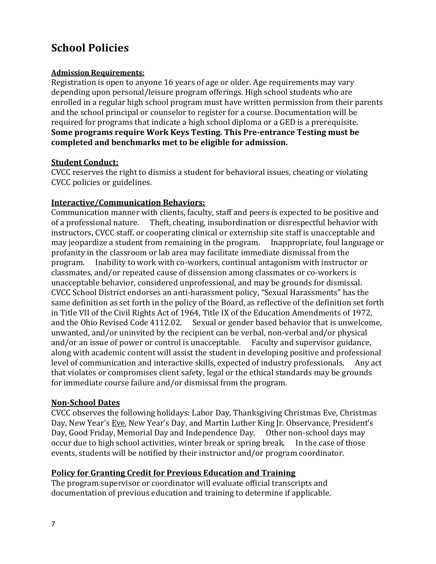## **School Policies**

#### **Admission Requirements:**

Registration is open to anyone 16 years of age or older. Age requirements may vary depending upon personal/leisure program offerings. High school students who are enrolled in a regular high school program must have written permission from their parents and the school principal or counselor to register for a course. Documentation will be required for programs that indicate a high school diploma or a GED is a prerequisite. **Some programs require Work Keys Testing. This Pre-entrance Testing must be completed and benchmarks met to be eligible for admission.**

#### **Student Conduct:**

CVCC reserves the right to dismiss a student for behavioral issues, cheating or violating CVCC policies or guidelines.

#### **Interactive/Communication Behaviors:**

Communication manner with clients, faculty, staff and peers is expected to be positive and of a professional nature. Theft, cheating, insubordination or disrespectful behavior with instructors, CVCC staff, or cooperating clinical or externship site staff is unacceptable and may jeopardize a student from remaining in the program. Inappropriate, foul language or profanity in the classroom or lab area may facilitate immediate dismissal from the program. Inability to work with co-workers, continual antagonism with instructor or classmates, and/or repeated cause of dissension among classmates or co-workers is unacceptable behavior, considered unprofessional, and may be grounds for dismissal. CVCC School District endorses an anti-harassment policy, "Sexual Harassments" has the same definition as set forth in the policy of the Board, as reflective of the definition set forth in Title VII of the Civil Rights Act of 1964, Title IX of the Education Amendments of 1972, and the Ohio Revised Code 4112.02. Sexual or gender based behavior that is unwelcome, unwanted, and/or uninvited by the recipient can be verbal, non-verbal and/or physical and/or an issue of power or control is unacceptable. Faculty and supervisor guidance, along with academic content will assist the student in developing positive and professional level of communication and interactive skills, expected of industry professionals. Any act that violates or compromises client safety, legal or the ethical standards may be grounds for immediate course failure and/or dismissal from the program.

#### **Non-School Dates**

CVCC observes the following holidays: Labor Day, Thanksgiving Christmas Eve, Christmas Day, New Year's Eve, New Year's Day, and Martin Luther King Jr. Observance, President's Day, Good Friday, Memorial Day and Independence Day. Other non-school days may occur due to high school activities, winter break or spring break. In the case of those events, students will be notified by their instructor and/or program coordinator.

#### **Policy for Granting Credit for Previous Education and Training**

The program supervisor or coordinator will evaluate official transcripts and documentation of previous education and training to determine if applicable.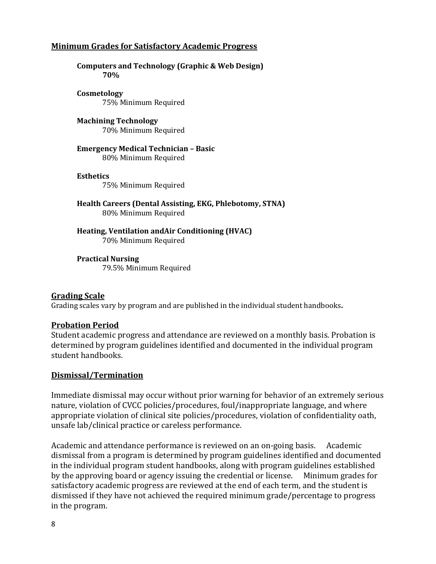#### **Minimum Grades for Satisfactory Academic Progress**

**Computers and Technology (Graphic & Web Design) 70%**

**Cosmetology** 75% Minimum Required

**Machining Technology** 70% Minimum Required

**Emergency Medical Technician – Basic** 80% Minimum Required

#### **Esthetics**

75% Minimum Required

**Health Careers (Dental Assisting, EKG, Phlebotomy, STNA)** 80% Minimum Required

**Heating, Ventilation andAir Conditioning (HVAC)** 70% Minimum Required

**Practical Nursing**  79.5% Minimum Required

#### **Grading Scale**

Grading scales vary by program and are published in the individual student handbooks**.**

#### **Probation Period**

Student academic progress and attendance are reviewed on a monthly basis. Probation is determined by program guidelines identified and documented in the individual program student handbooks.

#### **Dismissal/Termination**

Immediate dismissal may occur without prior warning for behavior of an extremely serious nature, violation of CVCC policies/procedures, foul/inappropriate language, and where appropriate violation of clinical site policies/procedures, violation of confidentiality oath, unsafe lab/clinical practice or careless performance.

Academic and attendance performance is reviewed on an on-going basis. Academic dismissal from a program is determined by program guidelines identified and documented in the individual program student handbooks, along with program guidelines established by the approving board or agency issuing the credential or license. Minimum grades for satisfactory academic progress are reviewed at the end of each term, and the student is dismissed if they have not achieved the required minimum grade/percentage to progress in the program.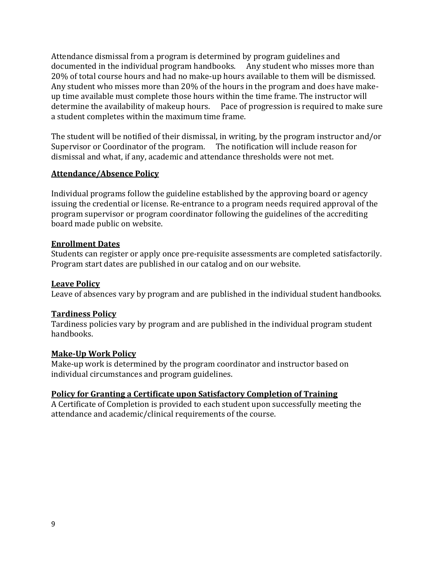Attendance dismissal from a program is determined by program guidelines and documented in the individual program handbooks. Any student who misses more than 20% of total course hours and had no make-up hours available to them will be dismissed. Any student who misses more than 20% of the hours in the program and does have makeup time available must complete those hours within the time frame. The instructor will determine the availability of makeup hours. Pace of progression is required to make sure a student completes within the maximum time frame.

The student will be notified of their dismissal, in writing, by the program instructor and/or Supervisor or Coordinator of the program. The notification will include reason for dismissal and what, if any, academic and attendance thresholds were not met.

#### **Attendance/Absence Policy**

Individual programs follow the guideline established by the approving board or agency issuing the credential or license. Re-entrance to a program needs required approval of the program supervisor or program coordinator following the guidelines of the accrediting board made public on website.

#### **Enrollment Dates**

Students can register or apply once pre-requisite assessments are completed satisfactorily. Program start dates are published in our catalog and on our website.

#### **Leave Policy**

Leave of absences vary by program and are published in the individual student handbooks.

#### **Tardiness Policy**

Tardiness policies vary by program and are published in the individual program student handbooks.

#### **Make-Up Work Policy**

Make-up work is determined by the program coordinator and instructor based on individual circumstances and program guidelines.

#### **Policy for Granting a Certificate upon Satisfactory Completion of Training**

A Certificate of Completion is provided to each student upon successfully meeting the attendance and academic/clinical requirements of the course.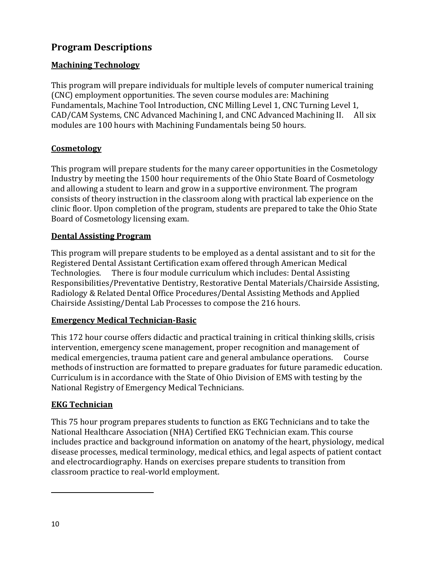### **Program Descriptions**

#### **Machining Technology**

This program will prepare individuals for multiple levels of computer numerical training (CNC) employment opportunities. The seven course modules are: Machining Fundamentals, Machine Tool Introduction, CNC Milling Level 1, CNC Turning Level 1, CAD/CAM Systems, CNC Advanced Machining I, and CNC Advanced Machining II. All six modules are 100 hours with Machining Fundamentals being 50 hours.

#### **Cosmetology**

This program will prepare students for the many career opportunities in the Cosmetology Industry by meeting the 1500 hour requirements of the Ohio State Board of Cosmetology and allowing a student to learn and grow in a supportive environment. The program consists of theory instruction in the classroom along with practical lab experience on the clinic floor. Upon completion of the program, students are prepared to take the Ohio State Board of Cosmetology licensing exam.

#### **Dental Assisting Program**

This program will prepare students to be employed as a dental assistant and to sit for the Registered Dental Assistant Certification exam offered through American Medical Technologies. There is four module curriculum which includes: Dental Assisting Responsibilities/Preventative Dentistry, Restorative Dental Materials/Chairside Assisting, Radiology & Related Dental Office Procedures/Dental Assisting Methods and Applied Chairside Assisting/Dental Lab Processes to compose the 216 hours.

#### **Emergency Medical Technician-Basic**

This 172 hour course offers didactic and practical training in critical thinking skills, crisis intervention, emergency scene management, proper recognition and management of medical emergencies, trauma patient care and general ambulance operations. Course methods of instruction are formatted to prepare graduates for future paramedic education. Curriculum is in accordance with the State of Ohio Division of EMS with testing by the National Registry of Emergency Medical Technicians.

#### **EKG Technician**

This 75 hour program prepares students to function as EKG Technicians and to take the National Healthcare Association (NHA) Certified EKG Technician exam. This course includes practice and background information on anatomy of the heart, physiology, medical disease processes, medical terminology, medical ethics, and legal aspects of patient contact and electrocardiography. Hands on exercises prepare students to transition from classroom practice to real-world employment.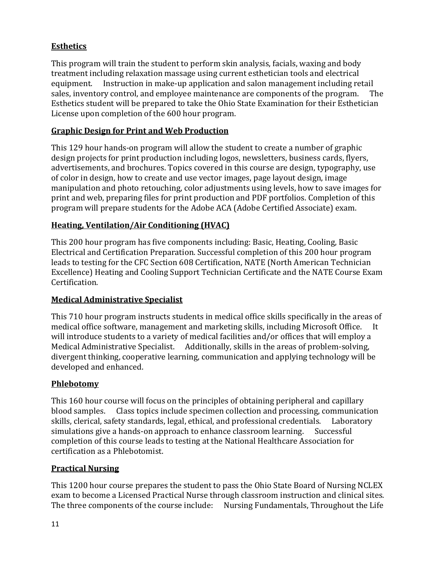#### **Esthetics**

This program will train the student to perform skin analysis, facials, waxing and body treatment including relaxation massage using current esthetician tools and electrical equipment. Instruction in make-up application and salon management including retail sales, inventory control, and employee maintenance are components of the program. The Esthetics student will be prepared to take the Ohio State Examination for their Esthetician License upon completion of the 600 hour program.

#### **Graphic Design for Print and Web Production**

This 129 hour hands-on program will allow the student to create a number of graphic design projects for print production including logos, newsletters, business cards, flyers, advertisements, and brochures. Topics covered in this course are design, typography, use of color in design, how to create and use vector images, page layout design, image manipulation and photo retouching, color adjustments using levels, how to save images for print and web, preparing files for print production and PDF portfolios. Completion of this program will prepare students for the Adobe ACA (Adobe Certified Associate) exam.

#### **Heating, Ventilation/Air Conditioning (HVAC)**

This 200 hour program has five components including: Basic, Heating, Cooling, Basic Electrical and Certification Preparation. Successful completion of this 200 hour program leads to testing for the CFC Section 608 Certification, NATE (North American Technician Excellence) Heating and Cooling Support Technician Certificate and the NATE Course Exam Certification.

#### **Medical Administrative Specialist**

This 710 hour program instructs students in medical office skills specifically in the areas of medical office software, management and marketing skills, including Microsoft Office. It will introduce students to a variety of medical facilities and/or offices that will employ a Medical Administrative Specialist. Additionally, skills in the areas of problem-solving, divergent thinking, cooperative learning, communication and applying technology will be developed and enhanced.

#### **Phlebotomy**

This 160 hour course will focus on the principles of obtaining peripheral and capillary blood samples. Class topics include specimen collection and processing, communication skills, clerical, safety standards, legal, ethical, and professional credentials. Laboratory simulations give a hands-on approach to enhance classroom learning. Successful completion of this course leads to testing at the National Healthcare Association for certification as a Phlebotomist.

#### **Practical Nursing**

This 1200 hour course prepares the student to pass the Ohio State Board of Nursing NCLEX exam to become a Licensed Practical Nurse through classroom instruction and clinical sites. The three components of the course include: Nursing Fundamentals, Throughout the Life